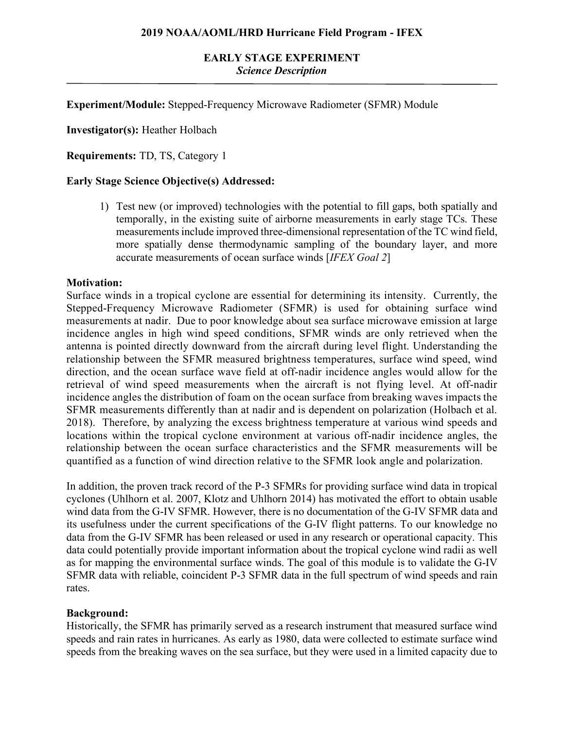# **EARLY STAGE EXPERIMENT** *Science Description*

**Experiment/Module:** Stepped-Frequency Microwave Radiometer (SFMR) Module

**Investigator(s):** Heather Holbach

**Requirements:** TD, TS, Category 1

## **Early Stage Science Objective(s) Addressed:**

1) Test new (or improved) technologies with the potential to fill gaps, both spatially and temporally, in the existing suite of airborne measurements in early stage TCs. These measurements include improved three-dimensional representation of the TC wind field, more spatially dense thermodynamic sampling of the boundary layer, and more accurate measurements of ocean surface winds [*IFEX Goal 2*]

#### **Motivation:**

Surface winds in a tropical cyclone are essential for determining its intensity. Currently, the Stepped-Frequency Microwave Radiometer (SFMR) is used for obtaining surface wind measurements at nadir. Due to poor knowledge about sea surface microwave emission at large incidence angles in high wind speed conditions, SFMR winds are only retrieved when the antenna is pointed directly downward from the aircraft during level flight. Understanding the relationship between the SFMR measured brightness temperatures, surface wind speed, wind direction, and the ocean surface wave field at off-nadir incidence angles would allow for the retrieval of wind speed measurements when the aircraft is not flying level. At off-nadir incidence angles the distribution of foam on the ocean surface from breaking waves impacts the SFMR measurements differently than at nadir and is dependent on polarization (Holbach et al. 2018). Therefore, by analyzing the excess brightness temperature at various wind speeds and locations within the tropical cyclone environment at various off-nadir incidence angles, the relationship between the ocean surface characteristics and the SFMR measurements will be quantified as a function of wind direction relative to the SFMR look angle and polarization.

In addition, the proven track record of the P-3 SFMRs for providing surface wind data in tropical cyclones (Uhlhorn et al. 2007, Klotz and Uhlhorn 2014) has motivated the effort to obtain usable wind data from the G-IV SFMR. However, there is no documentation of the G-IV SFMR data and its usefulness under the current specifications of the G-IV flight patterns. To our knowledge no data from the G-IV SFMR has been released or used in any research or operational capacity. This data could potentially provide important information about the tropical cyclone wind radii as well as for mapping the environmental surface winds. The goal of this module is to validate the G-IV SFMR data with reliable, coincident P-3 SFMR data in the full spectrum of wind speeds and rain rates.

## **Background:**

Historically, the SFMR has primarily served as a research instrument that measured surface wind speeds and rain rates in hurricanes. As early as 1980, data were collected to estimate surface wind speeds from the breaking waves on the sea surface, but they were used in a limited capacity due to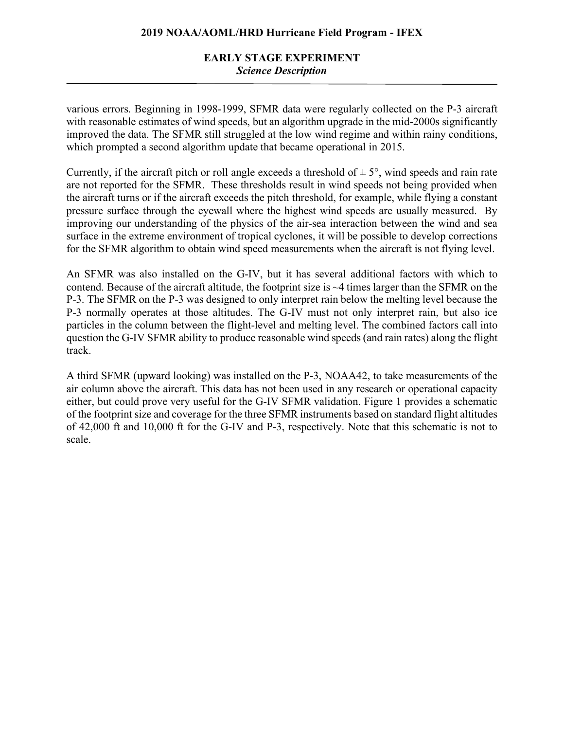# **EARLY STAGE EXPERIMENT** *Science Description*

various errors. Beginning in 1998-1999, SFMR data were regularly collected on the P-3 aircraft with reasonable estimates of wind speeds, but an algorithm upgrade in the mid-2000s significantly improved the data. The SFMR still struggled at the low wind regime and within rainy conditions, which prompted a second algorithm update that became operational in 2015.

Currently, if the aircraft pitch or roll angle exceeds a threshold of  $\pm$  5°, wind speeds and rain rate are not reported for the SFMR. These thresholds result in wind speeds not being provided when the aircraft turns or if the aircraft exceeds the pitch threshold, for example, while flying a constant pressure surface through the eyewall where the highest wind speeds are usually measured. By improving our understanding of the physics of the air-sea interaction between the wind and sea surface in the extreme environment of tropical cyclones, it will be possible to develop corrections for the SFMR algorithm to obtain wind speed measurements when the aircraft is not flying level.

An SFMR was also installed on the G-IV, but it has several additional factors with which to contend. Because of the aircraft altitude, the footprint size is ~4 times larger than the SFMR on the P-3. The SFMR on the P-3 was designed to only interpret rain below the melting level because the P-3 normally operates at those altitudes. The G-IV must not only interpret rain, but also ice particles in the column between the flight-level and melting level. The combined factors call into question the G-IV SFMR ability to produce reasonable wind speeds (and rain rates) along the flight track.

A third SFMR (upward looking) was installed on the P-3, NOAA42, to take measurements of the air column above the aircraft. This data has not been used in any research or operational capacity either, but could prove very useful for the G-IV SFMR validation. Figure 1 provides a schematic of the footprint size and coverage for the three SFMR instruments based on standard flight altitudes of 42,000 ft and 10,000 ft for the G-IV and P-3, respectively. Note that this schematic is not to scale.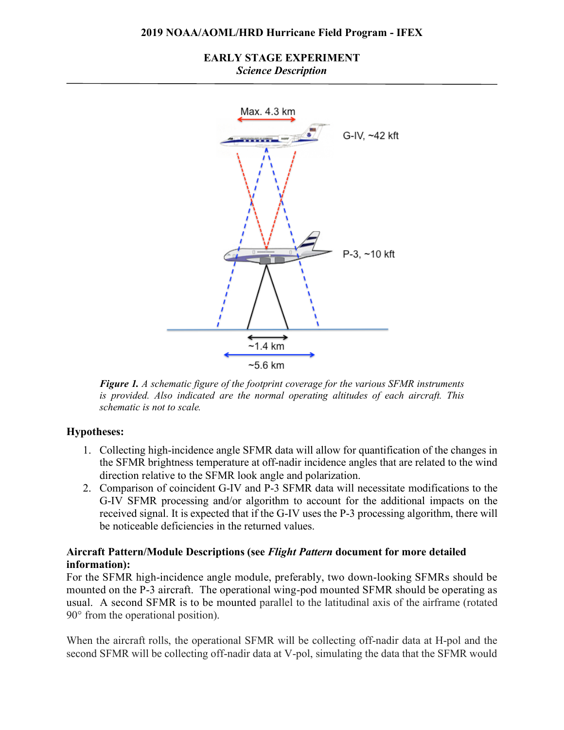## **EARLY STAGE EXPERIMENT** *Science Description*



*Figure 1. A schematic figure of the footprint coverage for the various SFMR instruments is provided. Also indicated are the normal operating altitudes of each aircraft. This schematic is not to scale.*

# **Hypotheses:**

- 1. Collecting high-incidence angle SFMR data will allow for quantification of the changes in the SFMR brightness temperature at off-nadir incidence angles that are related to the wind direction relative to the SFMR look angle and polarization.
- 2. Comparison of coincident G-IV and P-3 SFMR data will necessitate modifications to the G-IV SFMR processing and/or algorithm to account for the additional impacts on the received signal. It is expected that if the G-IV uses the P-3 processing algorithm, there will be noticeable deficiencies in the returned values.

# **Aircraft Pattern/Module Descriptions (see** *Flight Pattern* **document for more detailed information):**

For the SFMR high-incidence angle module, preferably, two down-looking SFMRs should be mounted on the P-3 aircraft. The operational wing-pod mounted SFMR should be operating as usual. A second SFMR is to be mounted parallel to the latitudinal axis of the airframe (rotated 90° from the operational position).

When the aircraft rolls, the operational SFMR will be collecting off-nadir data at H-pol and the second SFMR will be collecting off-nadir data at V-pol, simulating the data that the SFMR would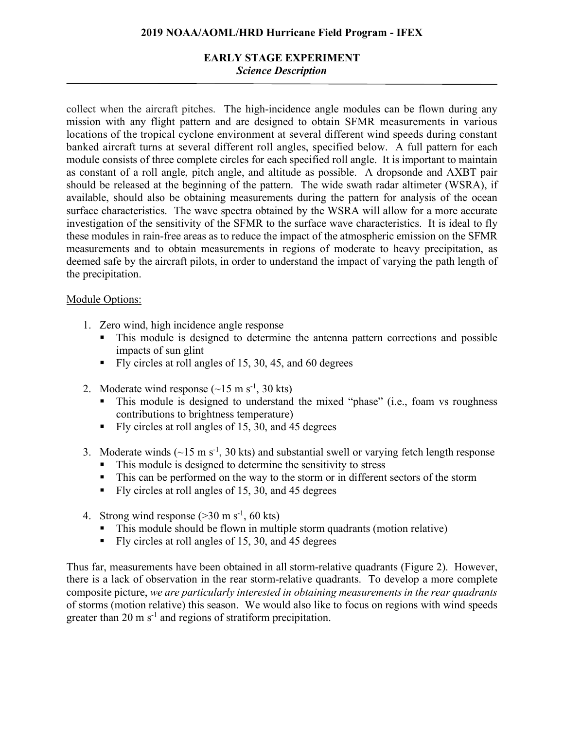# **EARLY STAGE EXPERIMENT** *Science Description*

collect when the aircraft pitches. The high-incidence angle modules can be flown during any mission with any flight pattern and are designed to obtain SFMR measurements in various locations of the tropical cyclone environment at several different wind speeds during constant banked aircraft turns at several different roll angles, specified below. A full pattern for each module consists of three complete circles for each specified roll angle. It is important to maintain as constant of a roll angle, pitch angle, and altitude as possible. A dropsonde and AXBT pair should be released at the beginning of the pattern. The wide swath radar altimeter (WSRA), if available, should also be obtaining measurements during the pattern for analysis of the ocean surface characteristics. The wave spectra obtained by the WSRA will allow for a more accurate investigation of the sensitivity of the SFMR to the surface wave characteristics. It is ideal to fly these modules in rain-free areas as to reduce the impact of the atmospheric emission on the SFMR measurements and to obtain measurements in regions of moderate to heavy precipitation, as deemed safe by the aircraft pilots, in order to understand the impact of varying the path length of the precipitation.

# Module Options:

- 1. Zero wind, high incidence angle response<br>
This module is designed to determine
	- This module is designed to determine the antenna pattern corrections and possible impacts of sun glint
	- § Fly circles at roll angles of 15, 30, 45, and 60 degrees
- 2. Moderate wind response  $(\sim 15 \text{ m s}^{-1}, 30 \text{ kts})$ 
	- This module is designed to understand the mixed "phase" (i.e., foam vs roughness contributions to brightness temperature)
	- Fly circles at roll angles of 15, 30, and 45 degrees
- 3. Moderate winds  $(-15 \text{ m s}^{-1}, 30 \text{ kts})$  and substantial swell or varying fetch length response
	- This module is designed to determine the sensitivity to stress
	- This can be performed on the way to the storm or in different sectors of the storm
	- Fly circles at roll angles of 15, 30, and 45 degrees
- 4. Strong wind response  $($ >30 m s<sup>-1</sup>, 60 kts)
	- This module should be flown in multiple storm quadrants (motion relative)
	- Fly circles at roll angles of 15, 30, and 45 degrees

Thus far, measurements have been obtained in all storm-relative quadrants (Figure 2). However, there is a lack of observation in the rear storm-relative quadrants. To develop a more complete composite picture, *we are particularly interested in obtaining measurements in the rear quadrants* of storms (motion relative) this season. We would also like to focus on regions with wind speeds greater than  $20 \text{ m s}^{-1}$  and regions of stratiform precipitation.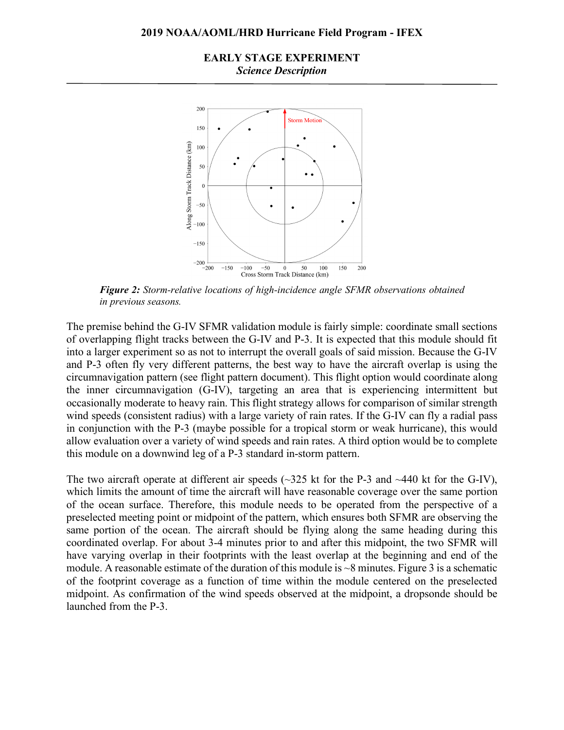## **EARLY STAGE EXPERIMENT** *Science Description*



*Figure 2: Storm-relative locations of high-incidence angle SFMR observations obtained in previous seasons.*

The premise behind the G-IV SFMR validation module is fairly simple: coordinate small sections of overlapping flight tracks between the G-IV and P-3. It is expected that this module should fit into a larger experiment so as not to interrupt the overall goals of said mission. Because the G-IV and P-3 often fly very different patterns, the best way to have the aircraft overlap is using the circumnavigation pattern (see flight pattern document). This flight option would coordinate along the inner circumnavigation (G-IV), targeting an area that is experiencing intermittent but occasionally moderate to heavy rain. This flight strategy allows for comparison of similar strength wind speeds (consistent radius) with a large variety of rain rates. If the G-IV can fly a radial pass in conjunction with the P-3 (maybe possible for a tropical storm or weak hurricane), this would allow evaluation over a variety of wind speeds and rain rates. A third option would be to complete this module on a downwind leg of a P-3 standard in-storm pattern.

The two aircraft operate at different air speeds ( $\sim$ 325 kt for the P-3 and  $\sim$ 440 kt for the G-IV), which limits the amount of time the aircraft will have reasonable coverage over the same portion of the ocean surface. Therefore, this module needs to be operated from the perspective of a preselected meeting point or midpoint of the pattern, which ensures both SFMR are observing the same portion of the ocean. The aircraft should be flying along the same heading during this coordinated overlap. For about 3-4 minutes prior to and after this midpoint, the two SFMR will have varying overlap in their footprints with the least overlap at the beginning and end of the module. A reasonable estimate of the duration of this module is ~8 minutes. Figure 3 is a schematic of the footprint coverage as a function of time within the module centered on the preselected midpoint. As confirmation of the wind speeds observed at the midpoint, a dropsonde should be launched from the P-3.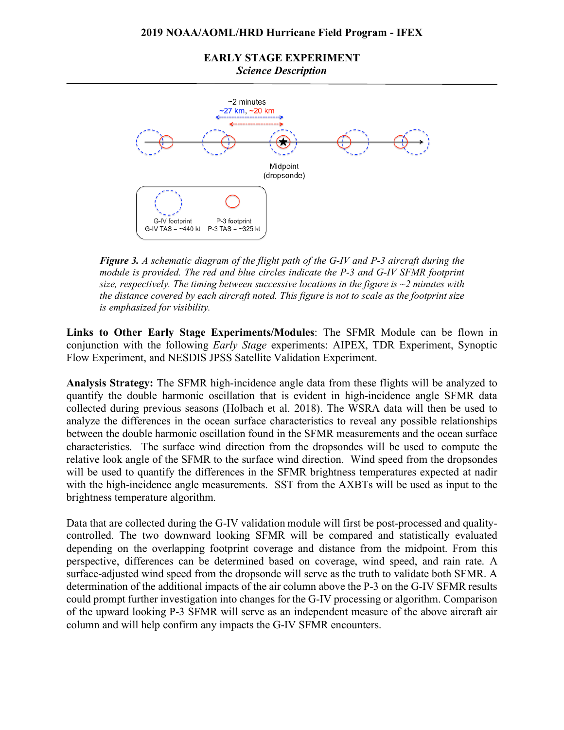**EARLY STAGE EXPERIMENT** *Science Description*



*Figure 3. A schematic diagram of the flight path of the G-IV and P-3 aircraft during the module is provided. The red and blue circles indicate the P-3 and G-IV SFMR footprint size, respectively. The timing between successive locations in the figure is ~2 minutes with the distance covered by each aircraft noted. This figure is not to scale as the footprint size is emphasized for visibility.*

**Links to Other Early Stage Experiments/Modules**: The SFMR Module can be flown in conjunction with the following *Early Stage* experiments: AIPEX, TDR Experiment, Synoptic Flow Experiment, and NESDIS JPSS Satellite Validation Experiment.

**Analysis Strategy:** The SFMR high-incidence angle data from these flights will be analyzed to quantify the double harmonic oscillation that is evident in high-incidence angle SFMR data collected during previous seasons (Holbach et al. 2018). The WSRA data will then be used to analyze the differences in the ocean surface characteristics to reveal any possible relationships between the double harmonic oscillation found in the SFMR measurements and the ocean surface characteristics. The surface wind direction from the dropsondes will be used to compute the relative look angle of the SFMR to the surface wind direction. Wind speed from the dropsondes will be used to quantify the differences in the SFMR brightness temperatures expected at nadir with the high-incidence angle measurements. SST from the AXBTs will be used as input to the brightness temperature algorithm.

Data that are collected during the G-IV validation module will first be post-processed and qualitycontrolled. The two downward looking SFMR will be compared and statistically evaluated depending on the overlapping footprint coverage and distance from the midpoint. From this perspective, differences can be determined based on coverage, wind speed, and rain rate. A surface-adjusted wind speed from the dropsonde will serve as the truth to validate both SFMR. A determination of the additional impacts of the air column above the P-3 on the G-IV SFMR results could prompt further investigation into changes for the G-IV processing or algorithm. Comparison of the upward looking P-3 SFMR will serve as an independent measure of the above aircraft air column and will help confirm any impacts the G-IV SFMR encounters.